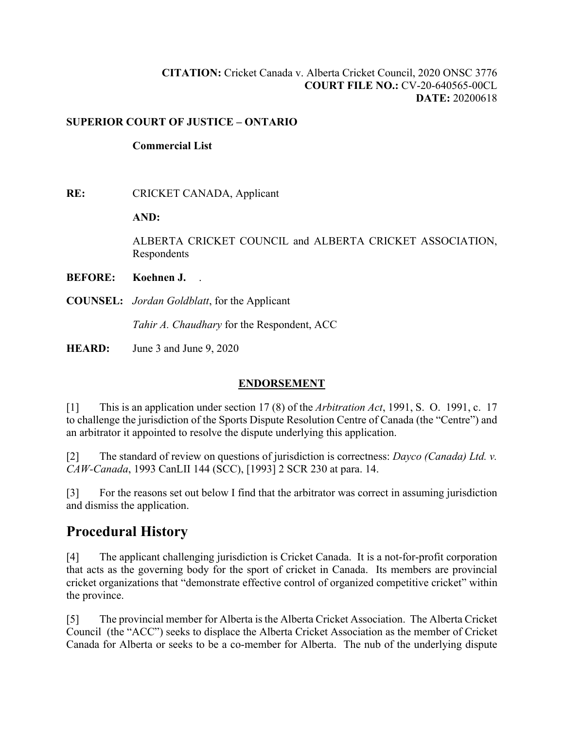#### **CITATION:** Cricket Canada v. Alberta Cricket Council, 2020 ONSC 3776 **COURT FILE NO.:** CV-20-640565-00CL **DATE:** 20200618

#### **SUPERIOR COURT OF JUSTICE – ONTARIO**

#### **Commercial List**

**RE:** CRICKET CANADA, Applicant

**AND:** 

ALBERTA CRICKET COUNCIL and ALBERTA CRICKET ASSOCIATION, Respondents

#### **BEFORE: Koehnen J.** .

**COUNSEL:** *Jordan Goldblatt*, for the Applicant

*Tahir A. Chaudhary* for the Respondent, ACC

**HEARD:** June 3 and June 9, 2020

### **ENDORSEMENT**

[1] This is an application under section 17 (8) of the *Arbitration Act*, 1991, S. O. 1991, c. 17 to challenge the jurisdiction of the Sports Dispute Resolution Centre of Canada (the "Centre") and an arbitrator it appointed to resolve the dispute underlying this application.

[2] The standard of review on questions of jurisdiction is correctness: *Dayco (Canada) Ltd. v. CAW-Canada*, 1993 CanLII 144 (SCC), [1993] 2 SCR 230 at para. 14.

[3] For the reasons set out below I find that the arbitrator was correct in assuming jurisdiction and dismiss the application.

## **Procedural History**

[4] The applicant challenging jurisdiction is Cricket Canada. It is a not-for-profit corporation that acts as the governing body for the sport of cricket in Canada. Its members are provincial cricket organizations that "demonstrate effective control of organized competitive cricket" within the province.

[5] The provincial member for Alberta is the Alberta Cricket Association. The Alberta Cricket Council (the "ACC") seeks to displace the Alberta Cricket Association as the member of Cricket Canada for Alberta or seeks to be a co-member for Alberta. The nub of the underlying dispute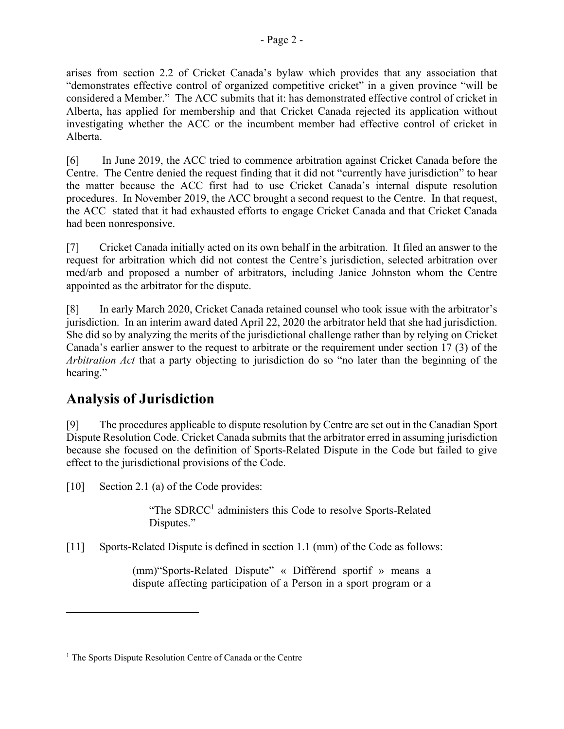arises from section 2.2 of Cricket Canada's bylaw which provides that any association that "demonstrates effective control of organized competitive cricket" in a given province "will be considered a Member." The ACC submits that it: has demonstrated effective control of cricket in Alberta, has applied for membership and that Cricket Canada rejected its application without investigating whether the ACC or the incumbent member had effective control of cricket in Alberta.

[6] In June 2019, the ACC tried to commence arbitration against Cricket Canada before the Centre. The Centre denied the request finding that it did not "currently have jurisdiction" to hear the matter because the ACC first had to use Cricket Canada's internal dispute resolution procedures. In November 2019, the ACC brought a second request to the Centre. In that request, the ACC stated that it had exhausted efforts to engage Cricket Canada and that Cricket Canada had been nonresponsive.

[7] Cricket Canada initially acted on its own behalf in the arbitration. It filed an answer to the request for arbitration which did not contest the Centre's jurisdiction, selected arbitration over med/arb and proposed a number of arbitrators, including Janice Johnston whom the Centre appointed as the arbitrator for the dispute.

[8] In early March 2020, Cricket Canada retained counsel who took issue with the arbitrator's jurisdiction. In an interim award dated April 22, 2020 the arbitrator held that she had jurisdiction. She did so by analyzing the merits of the jurisdictional challenge rather than by relying on Cricket Canada's earlier answer to the request to arbitrate or the requirement under section 17 (3) of the *Arbitration Act* that a party objecting to jurisdiction do so "no later than the beginning of the hearing."

# **Analysis of Jurisdiction**

[9] The procedures applicable to dispute resolution by Centre are set out in the Canadian Sport Dispute Resolution Code. Cricket Canada submits that the arbitrator erred in assuming jurisdiction because she focused on the definition of Sports-Related Dispute in the Code but failed to give effect to the jurisdictional provisions of the Code.

[10] Section 2.1 (a) of the Code provides:

"The SDRCC<sup>1</sup> administers this Code to resolve Sports-Related Disputes."

[11] Sports-Related Dispute is defined in section 1.1 (mm) of the Code as follows:

(mm)"Sports-Related Dispute" « Différend sportif » means a dispute affecting participation of a Person in a sport program or a

<sup>&</sup>lt;sup>1</sup> The Sports Dispute Resolution Centre of Canada or the Centre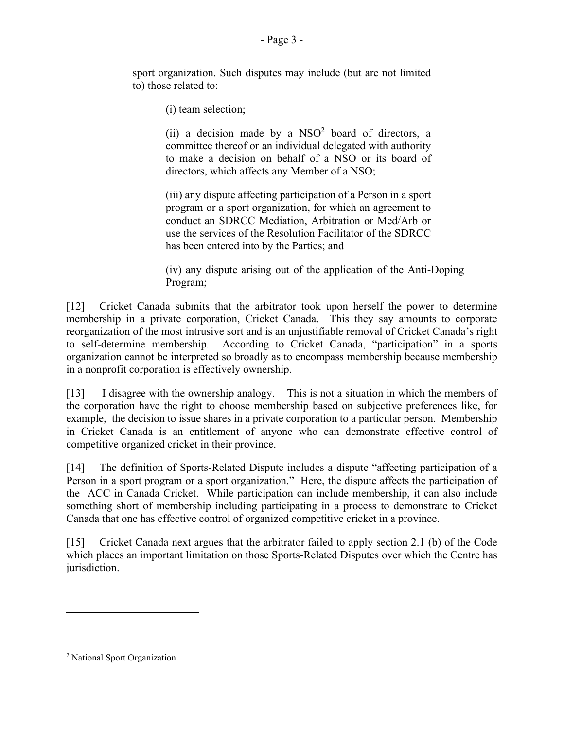sport organization. Such disputes may include (but are not limited to) those related to:

(i) team selection;

(ii) a decision made by a  $NSO<sup>2</sup>$  board of directors, a committee thereof or an individual delegated with authority to make a decision on behalf of a NSO or its board of directors, which affects any Member of a NSO;

(iii) any dispute affecting participation of a Person in a sport program or a sport organization, for which an agreement to conduct an SDRCC Mediation, Arbitration or Med/Arb or use the services of the Resolution Facilitator of the SDRCC has been entered into by the Parties; and

(iv) any dispute arising out of the application of the Anti-Doping Program;

[12] Cricket Canada submits that the arbitrator took upon herself the power to determine membership in a private corporation, Cricket Canada. This they say amounts to corporate reorganization of the most intrusive sort and is an unjustifiable removal of Cricket Canada's right to self-determine membership. According to Cricket Canada, "participation" in a sports organization cannot be interpreted so broadly as to encompass membership because membership in a nonprofit corporation is effectively ownership.

[13] I disagree with the ownership analogy. This is not a situation in which the members of the corporation have the right to choose membership based on subjective preferences like, for example, the decision to issue shares in a private corporation to a particular person. Membership in Cricket Canada is an entitlement of anyone who can demonstrate effective control of competitive organized cricket in their province.

[14] The definition of Sports-Related Dispute includes a dispute "affecting participation of a Person in a sport program or a sport organization." Here, the dispute affects the participation of the ACC in Canada Cricket. While participation can include membership, it can also include something short of membership including participating in a process to demonstrate to Cricket Canada that one has effective control of organized competitive cricket in a province.

[15] Cricket Canada next argues that the arbitrator failed to apply section 2.1 (b) of the Code which places an important limitation on those Sports-Related Disputes over which the Centre has jurisdiction.

<sup>2</sup> National Sport Organization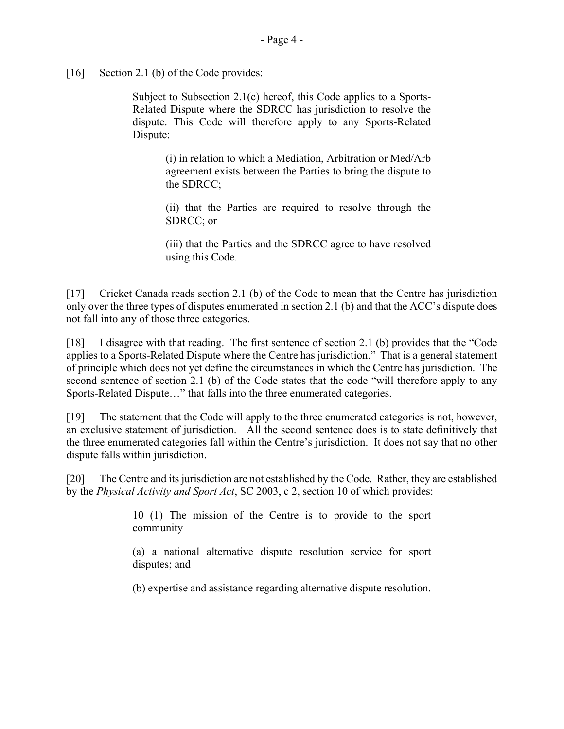[16] Section 2.1 (b) of the Code provides:

Subject to Subsection 2.1(c) hereof, this Code applies to a Sports-Related Dispute where the SDRCC has jurisdiction to resolve the dispute. This Code will therefore apply to any Sports-Related Dispute:

> (i) in relation to which a Mediation, Arbitration or Med/Arb agreement exists between the Parties to bring the dispute to the SDRCC;

> (ii) that the Parties are required to resolve through the SDRCC; or

> (iii) that the Parties and the SDRCC agree to have resolved using this Code.

[17] Cricket Canada reads section 2.1 (b) of the Code to mean that the Centre has jurisdiction only over the three types of disputes enumerated in section 2.1 (b) and that the ACC's dispute does not fall into any of those three categories.

[18] I disagree with that reading. The first sentence of section 2.1 (b) provides that the "Code applies to a Sports-Related Dispute where the Centre has jurisdiction." That is a general statement of principle which does not yet define the circumstances in which the Centre has jurisdiction. The second sentence of section 2.1 (b) of the Code states that the code "will therefore apply to any Sports-Related Dispute…" that falls into the three enumerated categories.

[19] The statement that the Code will apply to the three enumerated categories is not, however, an exclusive statement of jurisdiction. All the second sentence does is to state definitively that the three enumerated categories fall within the Centre's jurisdiction. It does not say that no other dispute falls within jurisdiction.

[20] The Centre and its jurisdiction are not established by the Code. Rather, they are established by the *Physical Activity and Sport Act*, SC 2003, c 2, section 10 of which provides:

> 10 (1) The mission of the Centre is to provide to the sport community

> (a) a national alternative dispute resolution service for sport disputes; and

> (b) expertise and assistance regarding alternative dispute resolution.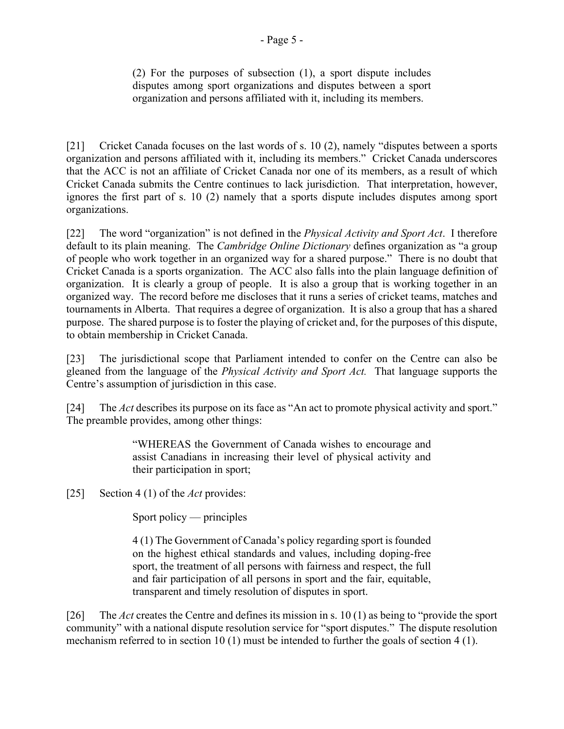organization and persons affiliated with it, including its members.

[21] Cricket Canada focuses on the last words of s. 10 (2), namely "disputes between a sports organization and persons affiliated with it, including its members." Cricket Canada underscores that the ACC is not an affiliate of Cricket Canada nor one of its members, as a result of which Cricket Canada submits the Centre continues to lack jurisdiction. That interpretation, however, ignores the first part of s. 10 (2) namely that a sports dispute includes disputes among sport organizations.

[22] The word "organization" is not defined in the *Physical Activity and Sport Act*. I therefore default to its plain meaning. The *Cambridge Online Dictionary* defines organization as "a group of people who work together in an organized way for a shared purpose." There is no doubt that Cricket Canada is a sports organization. The ACC also falls into the plain language definition of organization. It is clearly a group of people. It is also a group that is working together in an organized way. The record before me discloses that it runs a series of cricket teams, matches and tournaments in Alberta. That requires a degree of organization. It is also a group that has a shared purpose. The shared purpose is to foster the playing of cricket and, for the purposes of this dispute, to obtain membership in Cricket Canada.

[23] The jurisdictional scope that Parliament intended to confer on the Centre can also be gleaned from the language of the *Physical Activity and Sport Act.* That language supports the Centre's assumption of jurisdiction in this case.

[24] The *Act* describes its purpose on its face as "An act to promote physical activity and sport." The preamble provides, among other things:

> "WHEREAS the Government of Canada wishes to encourage and assist Canadians in increasing their level of physical activity and their participation in sport;

[25] Section 4 (1) of the *Act* provides:

Sport policy — principles

4 (1) The Government of Canada's policy regarding sport is founded on the highest ethical standards and values, including doping-free sport, the treatment of all persons with fairness and respect, the full and fair participation of all persons in sport and the fair, equitable, transparent and timely resolution of disputes in sport.

[26] The *Act* creates the Centre and defines its mission in s. 10 (1) as being to "provide the sport community" with a national dispute resolution service for "sport disputes." The dispute resolution mechanism referred to in section 10 (1) must be intended to further the goals of section 4 (1).